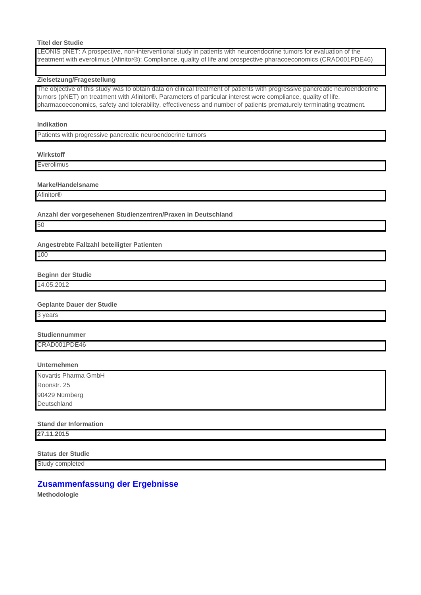# **Titel der Studie**

LEONIS pNET: A prospective, non-interventional study in patients with neuroendocrine tumors for evaluation of the treatment with everolimus (Afinitor®): Compliance, quality of life and prospective pharacoeconomics (CRAD001PDE46)

### **Zielsetzung/Fragestellung**

The objective of this study was to obtain data on clinical treatment of patients with progressive pancreatic neuroendocrine tumors (pNET) on treatment with Afinitor®. Parameters of particular interest were compliance, quality of life, pharmacoeconomics, safety and tolerability, effectiveness and number of patients prematurely terminating treatment.

#### **Indikation**

Patients with progressive pancreatic neuroendocrine tumors

# **Wirkstoff**

Everolimus

#### **Marke/Handelsname**

**Afinitor®** 

**Anzahl der vorgesehenen Studienzentren/Praxen in Deutschland**

50

**Angestrebte Fallzahl beteiligter Patienten**

100

**Beginn der Studie**

14.05.2012

### **Geplante Dauer der Studie**

3 years

# **Studiennummer**

CRAD001PDE46

# **Unternehmen**

Novartis Pharma GmbH Roonstr. 25 90429 Nürnberg Deutschland

### **Stand der Information**

**27.11.2015**

**Status der Studie**

Study completed

# **Zusammenfassung der Ergebnisse**

**Methodologie**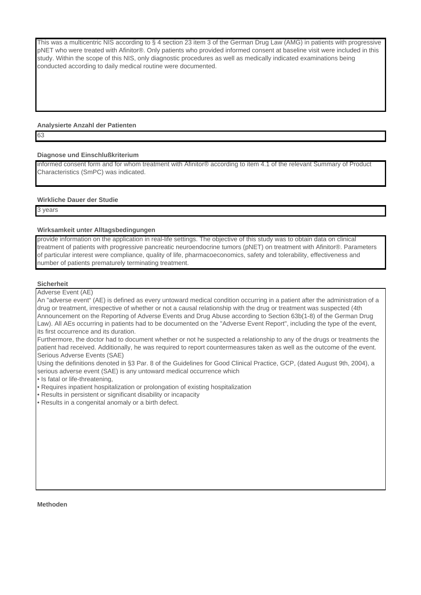This was a multicentric NIS according to § 4 section 23 item 3 of the German Drug Law (AMG) in patients with progressive pNET who were treated with Afinitor®. Only patients who provided informed consent at baseline visit were included in this study. Within the scope of this NIS, only diagnostic procedures as well as medically indicated examinations being conducted according to daily medical routine were documented.

# **Analysierte Anzahl der Patienten**

63

# **Diagnose und Einschlußkriterium**

informed consent form and for whom treatment with Afinitor® according to item 4.1 of the relevant Summary of Product Characteristics (SmPC) was indicated.

# **Wirkliche Dauer der Studie**

3 years

# **Wirksamkeit unter Alltagsbedingungen**

provide information on the application in real-life settings. The objective of this study was to obtain data on clinical treatment of patients with progressive pancreatic neuroendocrine tumors (pNET) on treatment with Afinitor®. Parameters of particular interest were compliance, quality of life, pharmacoeconomics, safety and tolerability, effectiveness and number of patients prematurely terminating treatment.

# **Sicherheit**

Adverse Event (AE)

An "adverse event" (AE) is defined as every untoward medical condition occurring in a patient after the administration of a drug or treatment, irrespective of whether or not a causal relationship with the drug or treatment was suspected (4th Announcement on the Reporting of Adverse Events and Drug Abuse according to Section 63b(1-8) of the German Drug Law). All AEs occurring in patients had to be documented on the "Adverse Event Report", including the type of the event, its first occurrence and its duration.

Furthermore, the doctor had to document whether or not he suspected a relationship to any of the drugs or treatments the patient had received. Additionally, he was required to report countermeasures taken as well as the outcome of the event. Serious Adverse Events (SAE)

Using the definitions denoted in §3 Par. 8 of the Guidelines for Good Clinical Practice, GCP, (dated August 9th, 2004), a serious adverse event (SAE) is any untoward medical occurrence which

• Is fatal or life-threatening,

• Requires inpatient hospitalization or prolongation of existing hospitalization

• Results in persistent or significant disability or incapacity

• Results in a congenital anomaly or a birth defect.

### **Methoden**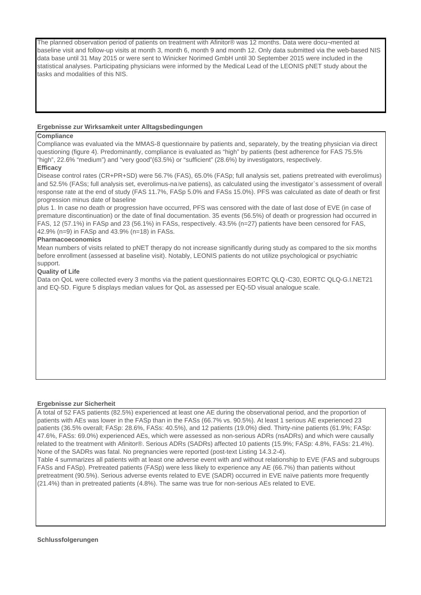The planned observation period of patients on treatment with Afinitor® was 12 months. Data were docu¬mented at baseline visit and follow-up visits at month 3, month 6, month 9 and month 12. Only data submitted via the web-based NIS data base until 31 May 2015 or were sent to Winicker Norimed GmbH until 30 September 2015 were included in the statistical analyses. Participating physicians were informed by the Medical Lead of the LEONIS pNET study about the tasks and modalities of this NIS.

# **Ergebnisse zur Wirksamkeit unter Alltagsbedingungen**

# **Compliance**

Compliance was evaluated via the MMAS-8 questionnaire by patients and, separately, by the treating physician via direct questioning (figure 4). Predominantly, compliance is evaluated as "high" by patients (best adherence for FAS 75.5% "high", 22.6% "medium") and "very good"(63.5%) or "sufficient" (28.6%) by investigators, respectively.

# **Efficacy**

Disease control rates (CR+PR+SD) were 56.7% (FAS), 65.0% (FASp; full analysis set, patiens pretreated with everolimus) and 52.5% (FASs; full analysis set, everolimus-na ïve patiens), as calculated using the investigator`s assessment of overall response rate at the end of study (FAS 11.7%, FASp 5.0% and FASs 15.0%). PFS was calculated as date of death or first progression minus date of baseline

plus 1. In case no death or progression have occurred, PFS was censored with the date of last dose of EVE (in case of premature discontinuation) or the date of final documentation. 35 events (56.5%) of death or progression had occurred in FAS, 12 (57.1%) in FASp and 23 (56.1%) in FASs, respectively. 43.5% (n=27) patients have been censored for FAS, 42.9% (n=9) in FASp and 43.9% (n=18) in FASs.

# **Pharmacoeconomics**

Mean numbers of visits related to pNET therapy do not increase significantly during study as compared to the six months before enrollment (assessed at baseline visit). Notably, LEONIS patients do not utilize psychological or psychiatric support.

# **Quality of Life**

Data on QoL were collected every 3 months via the patient questionnaires EORTC QLQ ‐C30, EORTC QLQ‐G.I.NET21 and EQ‐5D. Figure 5 displays median values for QoL as assessed per EQ-5D visual analogue scale.

### **Ergebnisse zur Sicherheit**

A total of 52 FAS patients (82.5%) experienced at least one AE during the observational period, and the proportion of patients with AEs was lower in the FASp than in the FASs (66.7% vs. 90.5%). At least 1 serious AE experienced 23 patients (36.5% overall; FASp: 28.6%, FASs: 40.5%), and 12 patients (19.0%) died. Thirty-nine patients (61.9%; FASp: 47.6%, FASs: 69.0%) experienced AEs, which were assessed as non-serious ADRs (nsADRs) and which were causally related to the treatment with Afinitor®. Serious ADRs (SADRs) affected 10 patients (15.9%; FASp: 4.8%, FASs: 21.4%). None of the SADRs was fatal. No pregnancies were reported (post-text Listing 14.3.2-4).

Table 4 summarizes all patients with at least one adverse event with and without relationship to EVE (FAS and subgroups FASs and FASp). Pretreated patients (FASp) were less likely to experience any AE (66.7%) than patients without pretreatment (90.5%). Serious adverse events related to EVE (SADR) occurred in EVE naïve patients more frequently (21.4%) than in pretreated patients (4.8%). The same was true for non-serious AEs related to EVE.